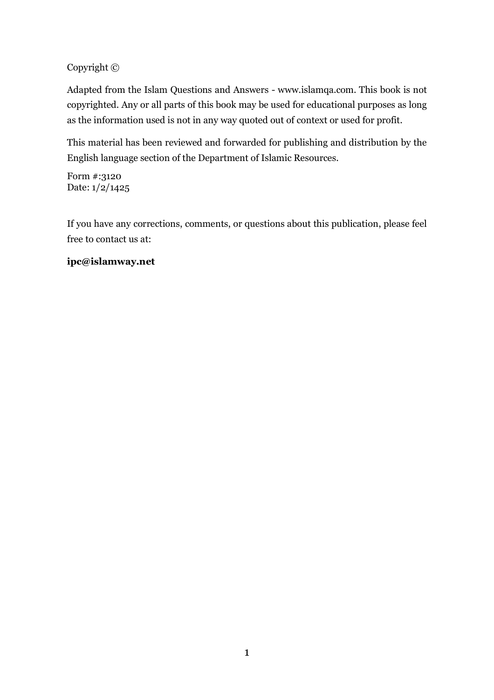#### Copyright ©

Adapted from the Islam Questions and Answers - www.islamga.com. This book is not copyrighted. Any or all parts of this book may be used for educational purposes as long as the information used is not in any way quoted out of context or used for profit.

This material has been reviewed and forwarded for publishing and distribution by the English language section of the Department of Islamic Resources.

Form #:3120 Date: 1/2/1425

If you have any corrections, comments, or questions about this publication, please feel free to contact us at:

#### ipc@islamway.net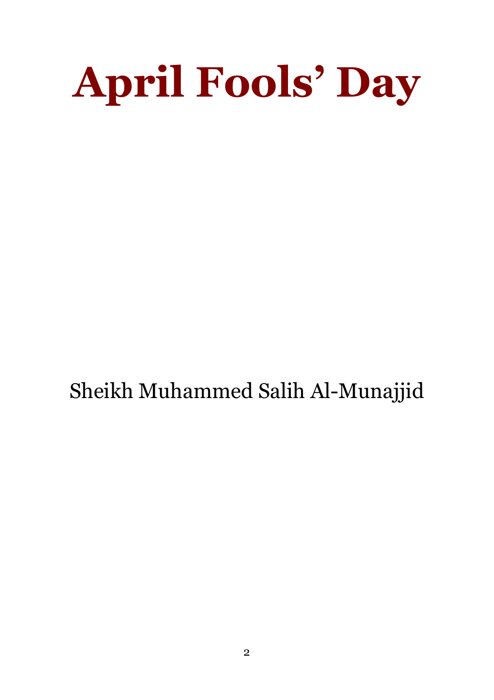# **April Fools' Day**

Sheikh Muhammed Salih Al-Munajjid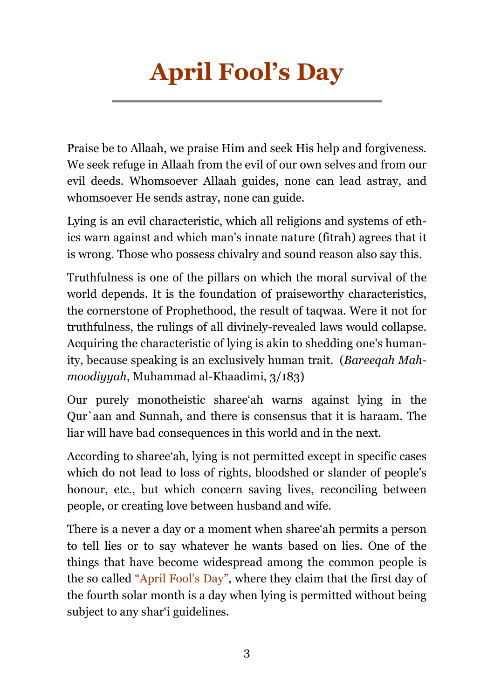# **April Fool's Day**

Praise be to Allaah, we praise Him and seek His help and forgiveness. We seek refuge in Allaah from the evil of our own selves and from our evil deeds. Whomsoever Allaah guides, none can lead astray, and whomsoever He sends astray, none can guide.

Lying is an evil characteristic, which all religions and systems of ethics warn against and which man's innate nature (fitrah) agrees that it is wrong. Those who possess chivalry and sound reason also say this.

Truthfulness is one of the pillars on which the moral survival of the world depends. It is the foundation of praiseworthy characteristics, the cornerstone of Prophethood, the result of tagwas. Were it not for truthfulness, the rulings of all divinely-revealed laws would collapse. Acquiring the characteristic of lying is akin to shedding one's humanity, because speaking is an exclusively human trait. (Bareegah Mahmoodiyyah, Muhammad al-Khaadimi, 3/183)

Our purely monotheistic share ah warns against lying in the Qur'aan and Sunnah, and there is consensus that it is haraam. The liar will have bad consequences in this world and in the next.

According to share at, lying is not permitted except in specific cases which do not lead to loss of rights, bloodshed or slander of people's honour, etc., but which concern saving lives, reconciling between people, or creating love between husband and wife.

There is a never a day or a moment when sharee'ah permits a person to tell lies or to say whatever he wants based on lies. One of the things that have become widespread among the common people is the so called "April Fool's Day", where they claim that the first day of the fourth solar month is a day when lying is permitted without being subject to any shar'i guidelines.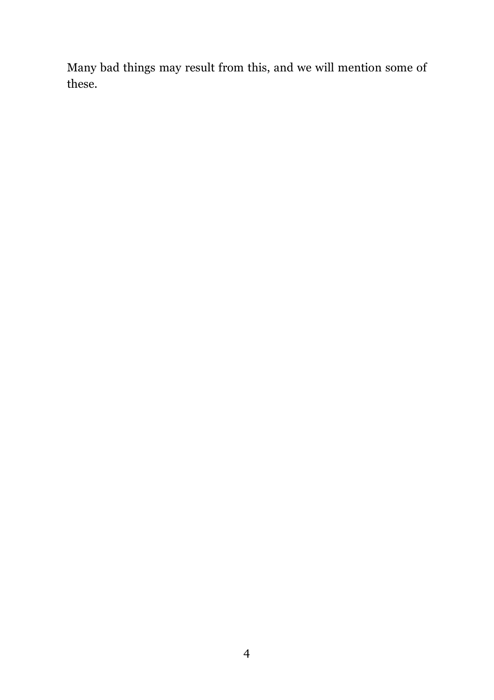Many bad things may result from this, and we will mention some of these.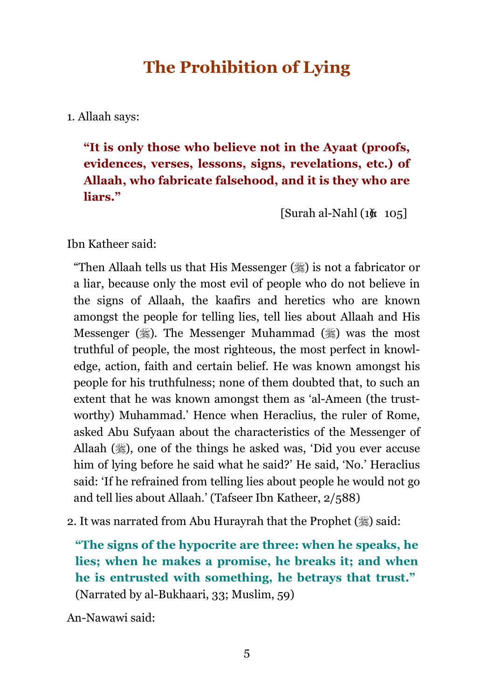# **The Prohibition of Lying**

1. Allaah says:

"It is only those who believe not in the Ayaat (proofs, evidences, verses, lessons, signs, revelations, etc.) of Allaah, who fabricate falsehood, and it is they who are liars."

 $\left[\text{Surah al-Nahl}\left(1\& 105\right]\right]$ 

Ibn Katheer said:

"Then Allaah tells us that His Messenger (,) is not a fabricator or a liar, because only the most evil of people who do not believe in the signs of Allaah, the kaafirs and heretics who are known amongst the people for telling lies, tell lies about Allaah and His Messenger (,). The Messenger Muhammad (,) was the most truthful of people, the most righteous, the most perfect in knowledge, action, faith and certain belief. He was known amongst his people for his truthfulness; none of them doubted that, to such an extent that he was known amongst them as 'al-Ameen (the trustworthy) Muhammad.' Hence when Heraclius, the ruler of Rome, asked Abu Sufyaan about the characteristics of the Messenger of Allaah (,), one of the things he asked was, 'Did you ever accuse him of lying before he said what he said?' He said, 'No.' Heraclius said: 'If he refrained from telling lies about people he would not go and tell lies about Allaah.' (Tafseer Ibn Katheer, 2/588)

2. It was narrated from Abu Hurayrah that the Prophet (, ) said:

"The signs of the hypocrite are three: when he speaks, he lies; when he makes a promise, he breaks it; and when he is entrusted with something, he betrays that trust." (Narrated by al-Bukhaari, 33; Muslim, 59)

An-Nawawi said: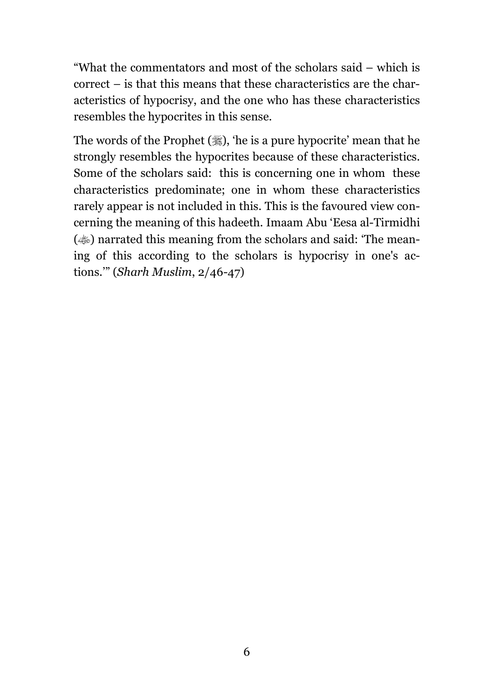"What the commentators and most of the scholars said – which is correct – is that this means that these characteristics are the characteristics of hypocrisy, and the one who has these characteristics resembles the hypocrites in this sense.

The words of the Prophet (,) the is a pure hypocrite' mean that he strongly resembles the hypocrites because of these characteristics. Some of the scholars said: this is concerning one in whom these characteristics predominate; one in whom these characteristics rarely appear is not included in this. This is the favoured view concerning the meaning of this hadeeth. Imaam Abu 'Eesa al-Tirmidhi (...) narrated this meaning from the scholars and said: 'The meaning of this according to the scholars is hypocrisy in one's actions." (Sharh Muslim,  $2/46-47$ )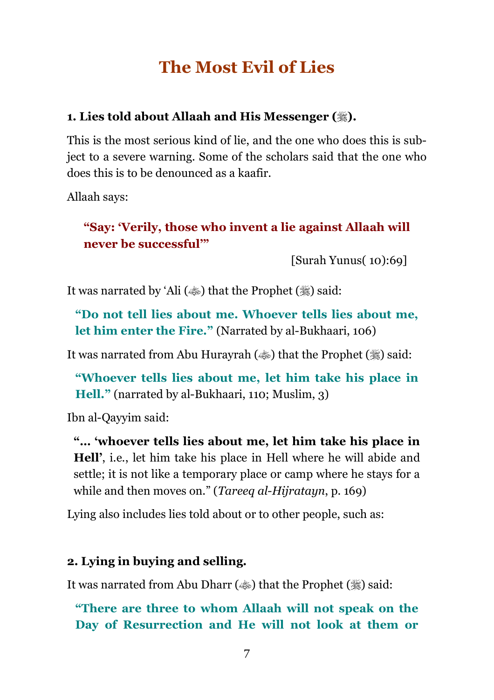# **The Most Evil of Lies**

#### 1. Lies told about Allaah and His Messenger (...).

This is the most serious kind of lie, and the one who does this is subject to a severe warning. Some of the scholars said that the one who does this is to be denounced as a kaafir.

Allaah says:

#### "Say: 'Verily, those who invent a lie against Allaah will never be successful"

[Surah Yunus(10):69]

It was narrated by 'Ali ( $\ddot{\bullet}$ ) that the Prophet ( $\ddot{\bullet}$ ) said:

"Do not tell lies about me. Whoever tells lies about me, let him enter the Fire." (Narrated by al-Bukhaari, 106)

It was narrated from Abu Hurayrah ( $\ddot{\bullet}$ ) that the Prophet ( $\ddot{\bullet}$ ) said:

"Whoever tells lies about me, let him take his place in **Hell.**" (narrated by al-Bukhaari, 110; Muslim, 3)

Ibn al-Qayyim said:

"... 'whoever tells lies about me, let him take his place in **Hell'**, i.e., let him take his place in Hell where he will abide and settle; it is not like a temporary place or camp where he stays for a while and then moves on." (*Tareeq al-Hijratayn*, p. 169)

Lying also includes lies told about or to other people, such as:

#### 2. Lying in buying and selling.

It was narrated from Abu Dharr ( $\gg$ ) that the Prophet ( $\gg$ ) said:

"There are three to whom Allaah will not speak on the Day of Resurrection and He will not look at them or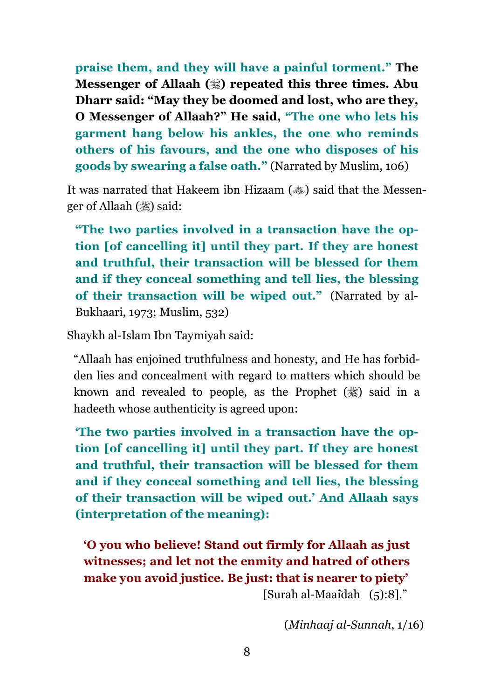praise them, and they will have a painful torment." The Messenger of Allaah (,) repeated this three times. Abu Dharr said: "May they be doomed and lost, who are they, O Messenger of Allaah?" He said, "The one who lets his garment hang below his ankles, the one who reminds others of his favours, and the one who disposes of his goods by swearing a false oath." (Narrated by Muslim, 106)

It was narrated that Hakeem ibn Hizaam ( $\gg$ ) said that the Messenger of Allaah (,) said:

"The two parties involved in a transaction have the option [of cancelling it] until they part. If they are honest and truthful, their transaction will be blessed for them and if they conceal something and tell lies, the blessing of their transaction will be wiped out." (Narrated by al-Bukhaari, 1973; Muslim, 532)

Shaykh al-Islam Ibn Taymiyah said:

"Allaah has enjoined truthfulness and honesty, and He has forbidden lies and concealment with regard to matters which should be known and revealed to people, as the Prophet  $(\frac{4}{3})$  said in a hadeeth whose authenticity is agreed upon:

The two parties involved in a transaction have the option [of cancelling it] until they part. If they are honest and truthful, their transaction will be blessed for them and if they conceal something and tell lies, the blessing of their transaction will be wiped out.' And Allaah says (interpretation of the meaning):

'O you who believe! Stand out firmly for Allaah as just witnesses; and let not the enmity and hatred of others make you avoid justice. Be just: that is nearer to piety' [Surah al-Maaîdah (5):8]."

 $(Minhaa)$  al-Sunnah,  $1/16$ )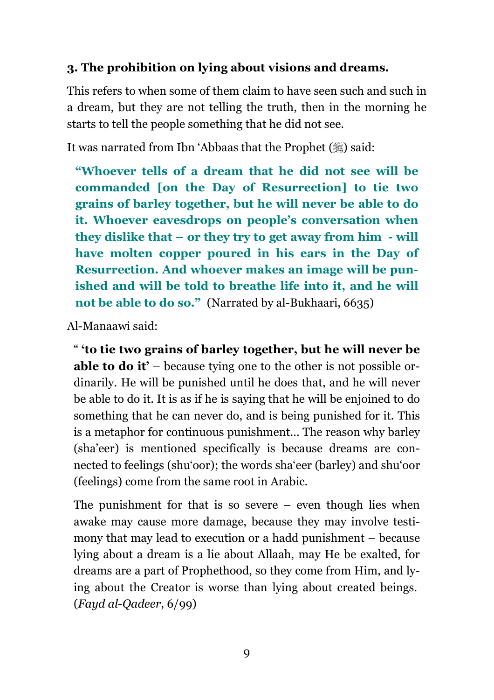#### 3. The prohibition on lying about visions and dreams.

This refers to when some of them claim to have seen such and such in a dream, but they are not telling the truth, then in the morning he starts to tell the people something that he did not see.

It was narrated from Ibn 'Abbaas that the Prophet (,) said:

"Whoever tells of a dream that he did not see will be commanded [on the Day of Resurrection] to tie two grains of barley together, but he will never be able to do it. Whoever eavesdrops on people's conversation when they dislike that  $-$  or they try to get away from him  $-$  will have molten copper poured in his ears in the Day of Resurrection. And whoever makes an image will be punished and will be told to breathe life into it, and he will not be able to do so." (Narrated by al-Bukhaari, 6635)

Al-Manaawi said:

" to tie two grains of barley together, but he will never be **able to do it'** – because tying one to the other is not possible ordinarily. He will be punished until he does that, and he will never be able to do it. It is as if he is saying that he will be enjoined to do something that he can never do, and is being punished for it. This is a metaphor for continuous punishment... The reason why barley (sha'eer) is mentioned specifically is because dreams are connected to feelings (shu'oor); the words sha'eer (barley) and shu'oor (feelings) come from the same root in Arabic.

The punishment for that is so severe  $-$  even though lies when awake may cause more damage, because they may involve testimony that may lead to execution or a hadd punishment – because lying about a dream is a lie about Allaah, may He be exalted, for dreams are a part of Prophethood, so they come from Him, and lying about the Creator is worse than lying about created beings.  $(Faud al-Qadeer, 6/99)$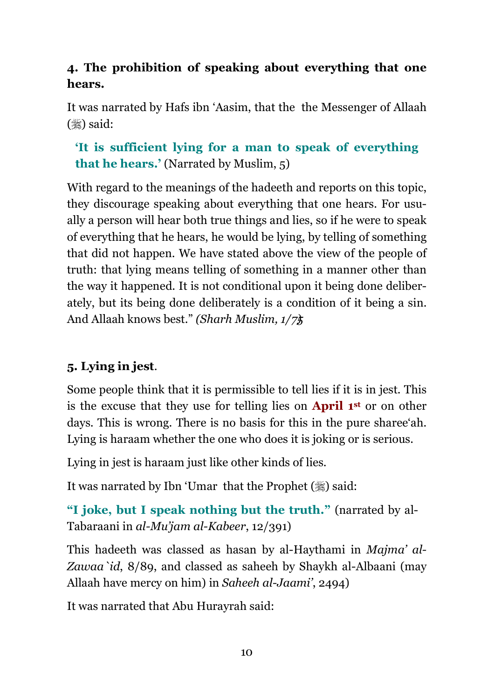#### 4. The prohibition of speaking about everything that one hears.

It was narrated by Hafs ibn 'Aasim, that the the Messenger of Allaah  $(\frac{1}{2})$  said:

#### 'It is sufficient lying for a man to speak of everything that he hears.' (Narrated by Muslim, 5)

With regard to the meanings of the hadeeth and reports on this topic, they discourage speaking about everything that one hears. For usually a person will hear both true things and lies, so if he were to speak of everything that he hears, he would be lying, by telling of something that did not happen. We have stated above the view of the people of truth: that lying means telling of something in a manner other than the way it happened. It is not conditional upon it being done deliberately, but its being done deliberately is a condition of it being a sin. And Allaah knows best." (Sharh Muslim,  $1/7\frac{1}{3}$ )

#### 5. Lying in jest.

Some people think that it is permissible to tell lies if it is in jest. This is the excuse that they use for telling lies on **April 1st** or on other days. This is wrong. There is no basis for this in the pure share then. Lying is haraam whether the one who does it is joking or is serious.

Lying in jest is haraam just like other kinds of lies.

It was narrated by Ibn 'Umar that the Prophet (,) said:

"I joke, but I speak nothing but the truth." (narrated by al-Tabaraani in al-Mu'jam al-Kabeer, 12/391)

This hadeeth was classed as hasan by al-Haythami in *Maima' al-*Zawaa id, 8/89, and classed as saheeh by Shaykh al-Albaani (may Allaah have mercy on him) in Saheeh al-Jaami', 2494)

It was narrated that Abu Hurayrah said: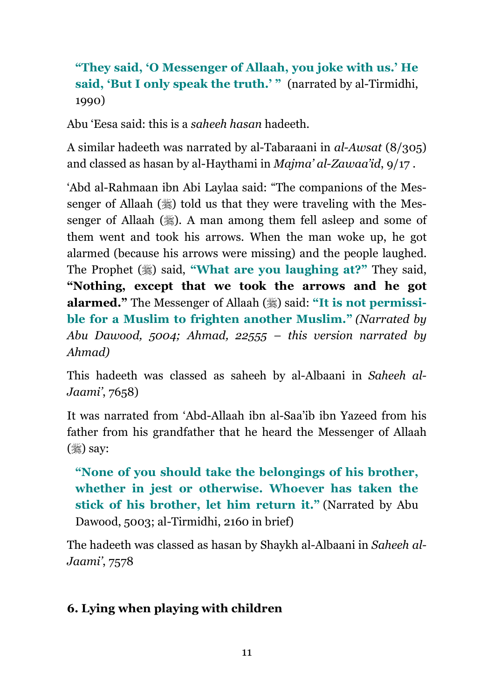#### "They said, 'O Messenger of Allaah, you joke with us.' He said, 'But I only speak the truth.' " (narrated by al-Tirmidhi, 1990)

Abu 'Eesa said: this is a *saheeh hasan* hadeeth.

A similar hadeeth was narrated by al-Tabaraani in al-Awsat (8/305) and classed as hasan by al-Haythami in *Majma' al-Zawaa'id*, 9/17.

'Abd al-Rahmaan ibn Abi Laylaa said: "The companions of the Messenger of Allaah ( $\frac{16}{26}$ ) told us that they were traveling with the Messenger of Allaah (.). A man among them fell asleep and some of them went and took his arrows. When the man woke up, he got alarmed (because his arrows were missing) and the people laughed. The Prophet (,) said, "What are you laughing at?" They said, "Nothing, except that we took the arrows and he got alarmed." The Messenger of Allaah (,) said: "It is not permissible for a Muslim to frighten another Muslim." (Narrated by Abu Dawood, 5004; Ahmad, 22555 - this version narrated by  $Ahmad)$ 

This hadeeth was classed as saheeh by al-Albaani in Saheeh al-Jaami', 7658)

It was narrated from 'Abd-Allaah ibn al-Saa'ib ibn Yazeed from his father from his grandfather that he heard the Messenger of Allaah  $(\mathscr{H})$  say:

"None of you should take the belongings of his brother, whether in jest or otherwise. Whoever has taken the stick of his brother, let him return it." (Narrated by Abu Dawood, 5003; al-Tirmidhi, 2160 in brief)

The hadeeth was classed as hasan by Shaykh al-Albaani in Saheeh al-Jaami', 7578

#### 6. Lying when playing with children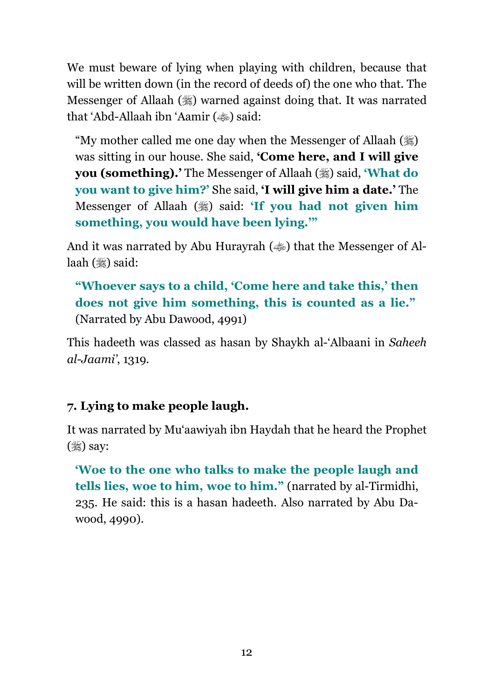We must beware of lying when playing with children, because that will be written down (in the record of deeds of) the one who that. The Messenger of Allaah (,) warned against doing that. It was narrated that 'Abd-Allaah ibn 'Aamir (<a>b></a> said:

"My mother called me one day when the Messenger of Allaah ( was sitting in our house. She said, **Come here, and I will give you (something).** The Messenger of Allaah (.) said, **What do** you want to give him?' She said, 'I will give him a date.' The Messenger of Allaah (,) said: 'If you had not given him something, you would have been lying."

And it was narrated by Abu Hurayrah ( $\gg$ ) that the Messenger of Allaah  $(\frac{36}{26})$  said:

"Whoever says to a child, 'Come here and take this,' then does not give him something, this is counted as a lie." (Narrated by Abu Dawood, 4991)

This hadeeth was classed as hasan by Shaykh al-'Albaani in Saheeh al-Jaami', 1319.

#### 7. Lying to make people laugh.

It was narrated by Mu'aawiyah ibn Haydah that he heard the Prophet  $(\mathcal{H})$  say:

Woe to the one who talks to make the people laugh and tells lies, woe to him, woe to him." (narrated by al-Tirmidhi, 235. He said: this is a hasan hadeeth. Also narrated by Abu Dawood, 4990).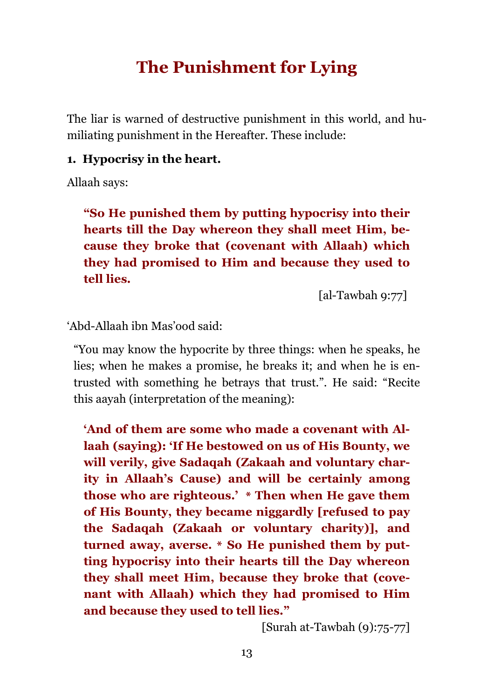## **The Punishment for Lying**

The liar is warned of destructive punishment in this world, and humiliating punishment in the Hereafter. These include:

#### 1. Hypocrisy in the heart.

Allaah says:

"So He punished them by putting hypocrisy into their hearts till the Day whereon they shall meet Him, because they broke that (covenant with Allaah) which they had promised to Him and because they used to tell lies.

[al-Tawbah  $9:77$ ]

'Abd-Allaah ibn Mas'ood said:

"You may know the hypocrite by three things: when he speaks, he lies; when he makes a promise, he breaks it; and when he is entrusted with something he betrays that trust.". He said: "Recite this aayah (interpretation of the meaning):

'And of them are some who made a covenant with Allaah (saying): 'If He bestowed on us of His Bounty, we will verily, give Sadaqah (Zakaah and voluntary charity in Allaah's Cause) and will be certainly among those who are righteous.' \* Then when He gave them of His Bounty, they became niggardly [refused to pay the Sadaqah (Zakaah or voluntary charity), and turned away, averse. \* So He punished them by putting hypocrisy into their hearts till the Day whereon they shall meet Him, because they broke that (covenant with Allaah) which they had promised to Him and because they used to tell lies."

[Surah at-Tawbah  $(9):75-77$ ]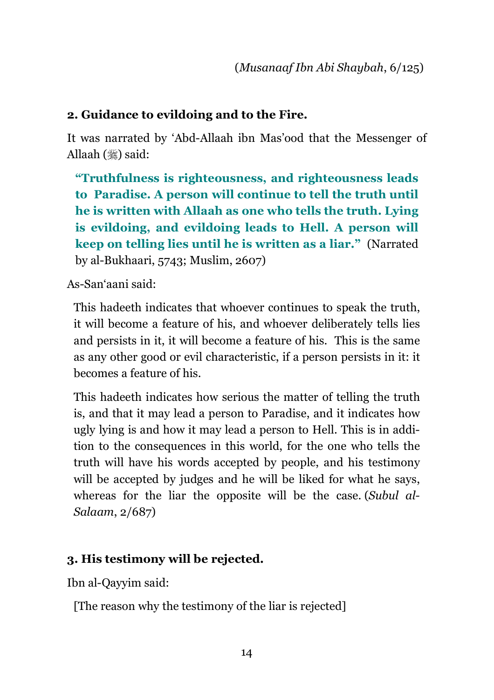#### 2. Guidance to evildoing and to the Fire.

It was narrated by 'Abd-Allaah ibn Mas'ood that the Messenger of Allaah (ﷺ) said:

"Truthfulness is righteousness, and righteousness leads to Paradise. A person will continue to tell the truth until he is written with Allaah as one who tells the truth. Lying is evildoing, and evildoing leads to Hell. A person will keep on telling lies until he is written as a liar." (Narrated by al-Bukhaari, 5743; Muslim, 2607)

As-San'aani said:

This hadeeth indicates that whoever continues to speak the truth, it will become a feature of his, and whoever deliberately tells lies and persists in it, it will become a feature of his. This is the same as any other good or evil characteristic, if a person persists in it: it becomes a feature of his.

This hadeeth indicates how serious the matter of telling the truth is, and that it may lead a person to Paradise, and it indicates how ugly lying is and how it may lead a person to Hell. This is in addition to the consequences in this world, for the one who tells the truth will have his words accepted by people, and his testimony will be accepted by judges and he will be liked for what he says, whereas for the liar the opposite will be the case. (Subul al-Salaam, 2/687)

#### 3. His testimony will be rejected.

Ibn al-Qayyim said:

[The reason why the testimony of the liar is rejected]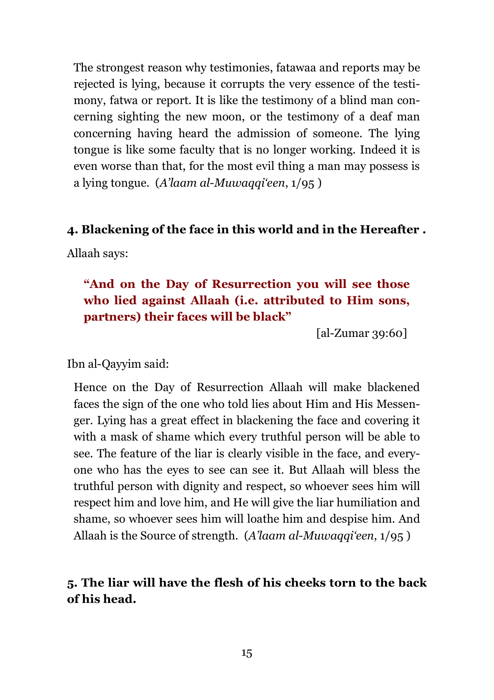The strongest reason why testimonies, fatawaa and reports may be rejected is lying, because it corrupts the very essence of the testimony, fatwa or report. It is like the testimony of a blind man concerning sighting the new moon, or the testimony of a deaf man concerning having heard the admission of someone. The lying tongue is like some faculty that is no longer working. Indeed it is even worse than that, for the most evil thing a man may possess is a lying tongue. (A'laam al-Muwaqqi'een,  $1/95$ )

#### 4. Blackening of the face in this world and in the Hereafter.

Allaah says:

#### "And on the Day of Resurrection you will see those who lied against Allaah (i.e. attributed to Him sons, partners) their faces will be black"

 $\lceil$ al-Zumar 39:60]

Ibn al-Qayyim said:

Hence on the Day of Resurrection Allaah will make blackened faces the sign of the one who told lies about Him and His Messenger. Lying has a great effect in blackening the face and covering it with a mask of shame which every truthful person will be able to see. The feature of the liar is clearly visible in the face, and everyone who has the eves to see can see it. But Allaah will bless the truthful person with dignity and respect, so whoever sees him will respect him and love him, and He will give the liar humiliation and shame, so whoever sees him will loathe him and despise him. And Allaah is the Source of strength. (A'laam al-Muwaqqi'een, 1/95)

#### 5. The liar will have the flesh of his cheeks torn to the back of his head.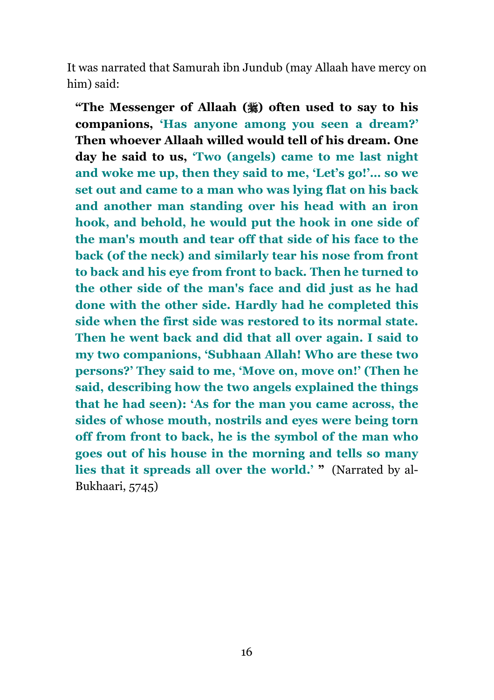It was narrated that Samurah ibn Jundub (may Allaah have mercy on him) said:

"The Messenger of Allaah (3) often used to say to his companions, 'Has anyone among you seen a dream?' Then whoever Allaah willed would tell of his dream. One day he said to us, 'Two (angels) came to me last night and woke me up, then they said to me, 'Let's go!'... so we set out and came to a man who was lying flat on his back and another man standing over his head with an iron hook, and behold, he would put the hook in one side of the man's mouth and tear off that side of his face to the back (of the neck) and similarly tear his nose from front to back and his eve from front to back. Then he turned to the other side of the man's face and did just as he had done with the other side. Hardly had he completed this side when the first side was restored to its normal state. Then he went back and did that all over again. I said to my two companions, 'Subhaan Allah! Who are these two persons?' They said to me, 'Move on, move on!' (Then he said, describing how the two angels explained the things that he had seen): 'As for the man you came across, the sides of whose mouth, nostrils and eyes were being torn off from front to back, he is the symbol of the man who goes out of his house in the morning and tells so many lies that it spreads all over the world.' " (Narrated by al-Bukhaari, 5745)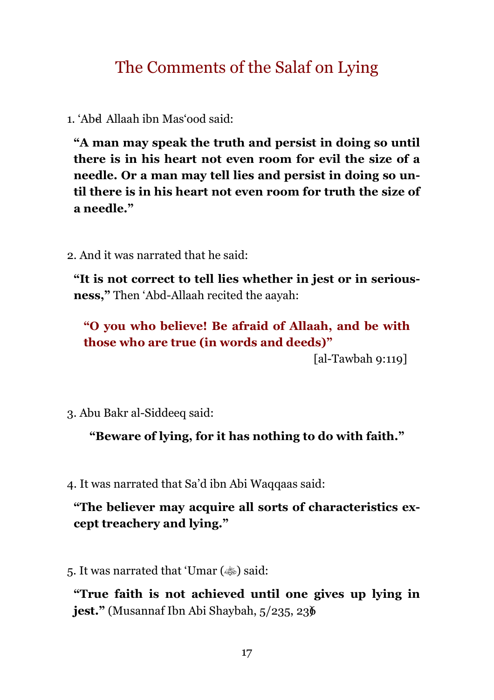# The Comments of the Salaf on Lying

1. 'Abd Allaah ibn Mas'ood said:

"A man may speak the truth and persist in doing so until there is in his heart not even room for evil the size of a needle. Or a man may tell lies and persist in doing so until there is in his heart not even room for truth the size of a needle."

2. And it was narrated that he said:

"It is not correct to tell lies whether in jest or in serious**ness.**" Then 'Abd-Allaah recited the aavah:

"O you who believe! Be afraid of Allaah, and be with those who are true (in words and deeds)"

[al-Tawbah  $9:119$ ]

3. Abu Bakr al-Siddeeq said:

"Beware of lying, for it has nothing to do with faith."

4. It was narrated that Sa'd ibn Abi Waqqaas said:

"The believer may acquire all sorts of characteristics except treachery and lying."

5. It was narrated that 'Umar ( $\gg$ ) said:

"True faith is not achieved until one gives up lying in jest." (Musannaf Ibn Abi Shaybah, 5/235, 236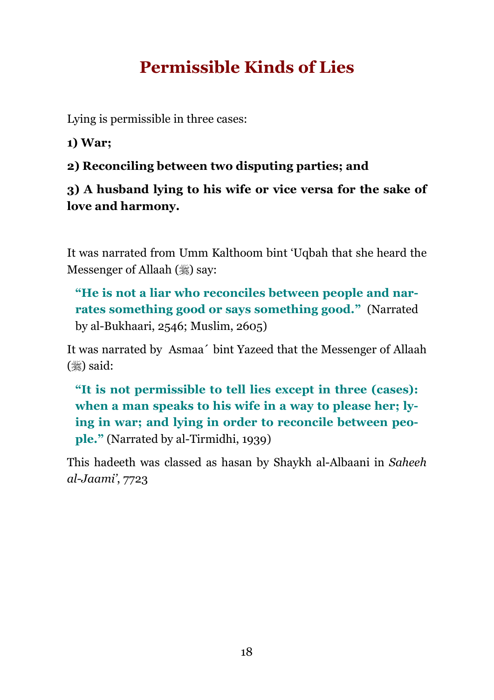# **Permissible Kinds of Lies**

Lying is permissible in three cases:

1) War:

2) Reconciling between two disputing parties; and

#### 3) A husband lying to his wife or vice versa for the sake of love and harmony.

It was narrated from Umm Kalthoom bint 'Uqbah that she heard the **Messenger of Allaah** (,) say:

"He is not a liar who reconciles between people and narrates something good or says something good." (Narrated by al-Bukhaari, 2546; Muslim, 2605)

It was narrated by Asmaa' bint Yazeed that the Messenger of Allaah  $(\frac{1}{2})$  said:

"It is not permissible to tell lies except in three (cases): when a man speaks to his wife in a way to please her; lying in war; and lying in order to reconcile between people." (Narrated by al-Tirmidhi, 1939)

This hadeeth was classed as hasan by Shaykh al-Albaani in Saheeh  $al$ -Jaami', 7723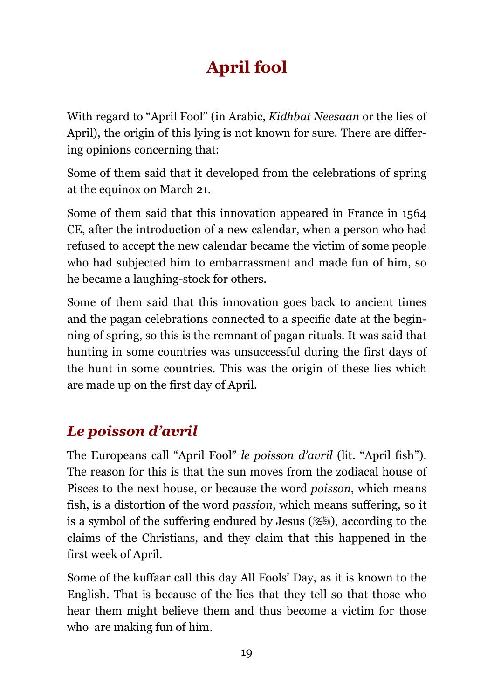# **April fool**

With regard to "April Fool" (in Arabic, Kidhbat Neesaan or the lies of April), the origin of this lying is not known for sure. There are differing opinions concerning that:

Some of them said that it developed from the celebrations of spring at the equinox on March 21.

Some of them said that this innovation appeared in France in 1564 CE, after the introduction of a new calendar, when a person who had refused to accept the new calendar became the victim of some people who had subjected him to embarrassment and made fun of him, so he became a laughing-stock for others.

Some of them said that this innovation goes back to ancient times and the pagan celebrations connected to a specific date at the beginning of spring, so this is the remnant of pagan rituals. It was said that hunting in some countries was unsuccessful during the first days of the hunt in some countries. This was the origin of these lies which are made up on the first day of April.

### Le poisson d'avril

The Europeans call "April Fool" *le poisson d'avril* (lit. "April fish"). The reason for this is that the sun moves from the zodiacal house of Pisces to the next house, or because the word poisson, which means fish, is a distortion of the word *passion*, which means suffering, so it is a symbol of the suffering endured by Jesus ( $\mathbb{R}$ ), according to the claims of the Christians, and they claim that this happened in the first week of April.

Some of the kuffaar call this day All Fools' Day, as it is known to the English. That is because of the lies that they tell so that those who hear them might believe them and thus become a victim for those who are making fun of him.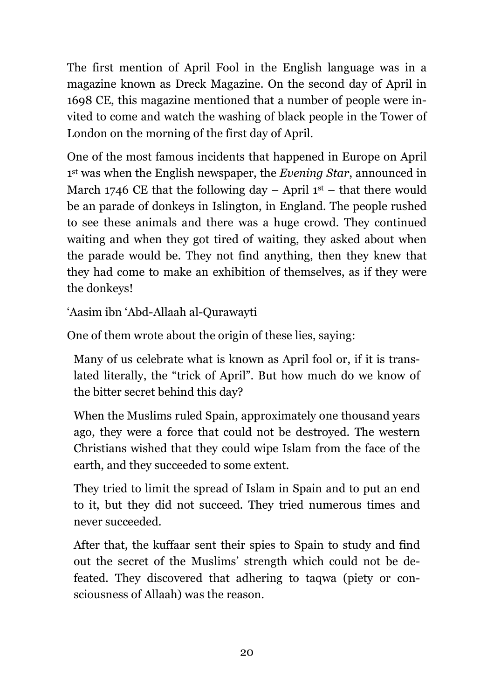The first mention of April Fool in the English language was in a magazine known as Dreck Magazine. On the second day of April in 1698 CE, this magazine mentioned that a number of people were invited to come and watch the washing of black people in the Tower of London on the morning of the first day of April.

One of the most famous incidents that happened in Europe on April <sup>1st</sup> was when the English newspaper, the *Evening Star*, announced in March 1746 CE that the following day – April  $1<sup>st</sup>$  – that there would be an parade of donkeys in Islington, in England. The people rushed to see these animals and there was a huge crowd. They continued waiting and when they got tired of waiting, they asked about when the parade would be. They not find anything, then they knew that they had come to make an exhibition of themselves, as if they were the donkeys!

'Aasim ibn 'Abd-Allaah al-Qurawayti

One of them wrote about the origin of these lies, saying:

Many of us celebrate what is known as April fool or, if it is translated literally, the "trick of April". But how much do we know of the bitter secret behind this day?

When the Muslims ruled Spain, approximately one thousand years ago, they were a force that could not be destroyed. The western Christians wished that they could wipe Islam from the face of the earth, and they succeeded to some extent.

They tried to limit the spread of Islam in Spain and to put an end to it, but they did not succeed. They tried numerous times and never succeeded.

After that, the kuffaar sent their spies to Spain to study and find out the secret of the Muslims' strength which could not be defeated. They discovered that adhering to taqwa (piety or consciousness of Allaah) was the reason.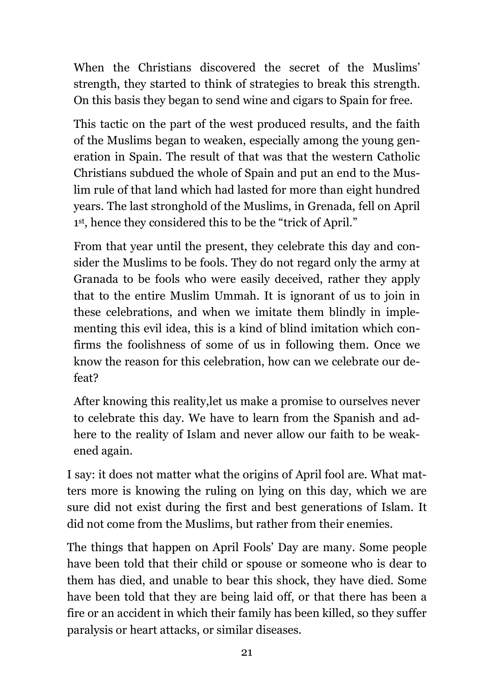When the Christians discovered the secret of the Muslims' strength, they started to think of strategies to break this strength. On this basis they began to send wine and cigars to Spain for free.

This tactic on the part of the west produced results, and the faith of the Muslims began to weaken, especially among the young generation in Spain. The result of that was that the western Catholic Christians subdued the whole of Spain and put an end to the Muslim rule of that land which had lasted for more than eight hundred years. The last stronghold of the Muslims, in Grenada, fell on April <sup>1st</sup>, hence they considered this to be the "trick of April."

From that year until the present, they celebrate this day and consider the Muslims to be fools. They do not regard only the army at Granada to be fools who were easily deceived, rather they apply that to the entire Muslim Ummah. It is ignorant of us to join in these celebrations, and when we imitate them blindly in implementing this evil idea, this is a kind of blind imitation which confirms the foolishness of some of us in following them. Once we know the reason for this celebration, how can we celebrate our defeat?

After knowing this reality, let us make a promise to ourselves never to celebrate this day. We have to learn from the Spanish and adhere to the reality of Islam and never allow our faith to be weakened again.

I say: it does not matter what the origins of April fool are. What matters more is knowing the ruling on lying on this day, which we are sure did not exist during the first and best generations of Islam. It did not come from the Muslims, but rather from their enemies.

The things that happen on April Fools' Day are many. Some people have been told that their child or spouse or someone who is dear to them has died, and unable to bear this shock, they have died. Some have been told that they are being laid off, or that there has been a fire or an accident in which their family has been killed, so they suffer paralysis or heart attacks, or similar diseases.